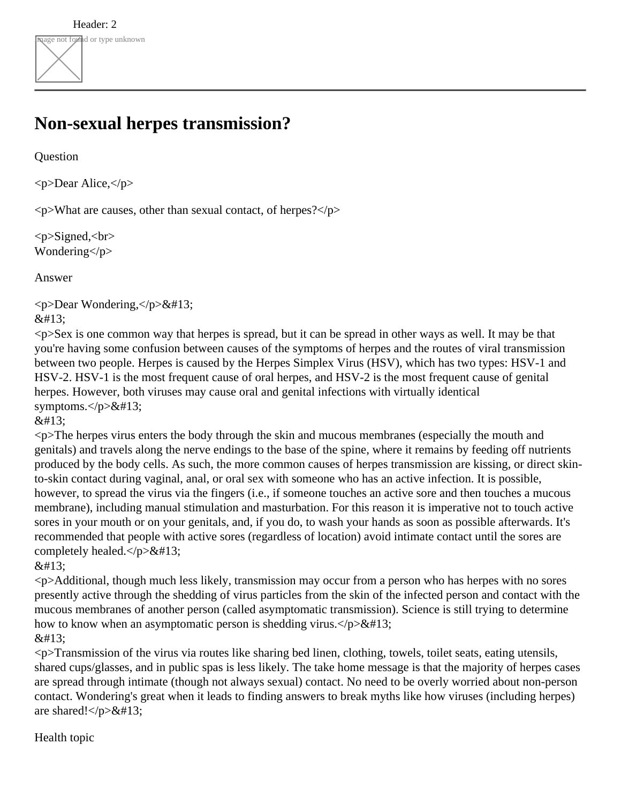## **Non-sexual herpes transmission?**

**Question** 

<p>Dear Alice,</p>

 $\langle p \rangle$ What are causes, other than sexual contact, of herpes? $\langle p \rangle$ 

<p>Signed,<br> Wondering</p>

Answer

 $\langle p$ >Dear Wondering, $\langle p \rangle \&\#13$ ;

 $&\#13$ :

<p>Sex is one common way that herpes is spread, but it can be spread in other ways as well. It may be that you're having some confusion between causes of the symptoms of herpes and the routes of viral transmission between two people. Herpes is caused by the Herpes Simplex Virus (HSV), which has two types: HSV-1 and HSV-2. HSV-1 is the most frequent cause of oral herpes, and HSV-2 is the most frequent cause of genital herpes. However, both viruses may cause oral and genital infections with virtually identical symptoms. $<$  $p$  $\&$ #13;

 $&\#13:$ 

<p>The herpes virus enters the body through the skin and mucous membranes (especially the mouth and genitals) and travels along the nerve endings to the base of the spine, where it remains by feeding off nutrients produced by the body cells. As such, the more common causes of herpes transmission are kissing, or direct skinto-skin contact during vaginal, anal, or oral sex with someone who has an active infection. It is possible, however, to spread the virus via the fingers (i.e., if someone touches an active sore and then touches a mucous membrane), including manual stimulation and masturbation. For this reason it is imperative not to touch active sores in your mouth or on your genitals, and, if you do, to wash your hands as soon as possible afterwards. It's recommended that people with active sores (regardless of location) avoid intimate contact until the sores are completely healed. $\langle \rangle p \rangle \&\#13$ ;

 $&\#13:$ 

<p>Additional, though much less likely, transmission may occur from a person who has herpes with no sores presently active through the shedding of virus particles from the skin of the infected person and contact with the mucous membranes of another person (called asymptomatic transmission). Science is still trying to determine how to know when an asymptomatic person is shedding virus. $\langle p \rangle \&\#13$ ;  $&\#13:$ 

<p>Transmission of the virus via routes like sharing bed linen, clothing, towels, toilet seats, eating utensils, shared cups/glasses, and in public spas is less likely. The take home message is that the majority of herpes cases are spread through intimate (though not always sexual) contact. No need to be overly worried about non-person contact. Wondering's great when it leads to finding answers to break myths like how viruses (including herpes) are shared! $\langle p \rangle \&\#13$ ;

Health topic